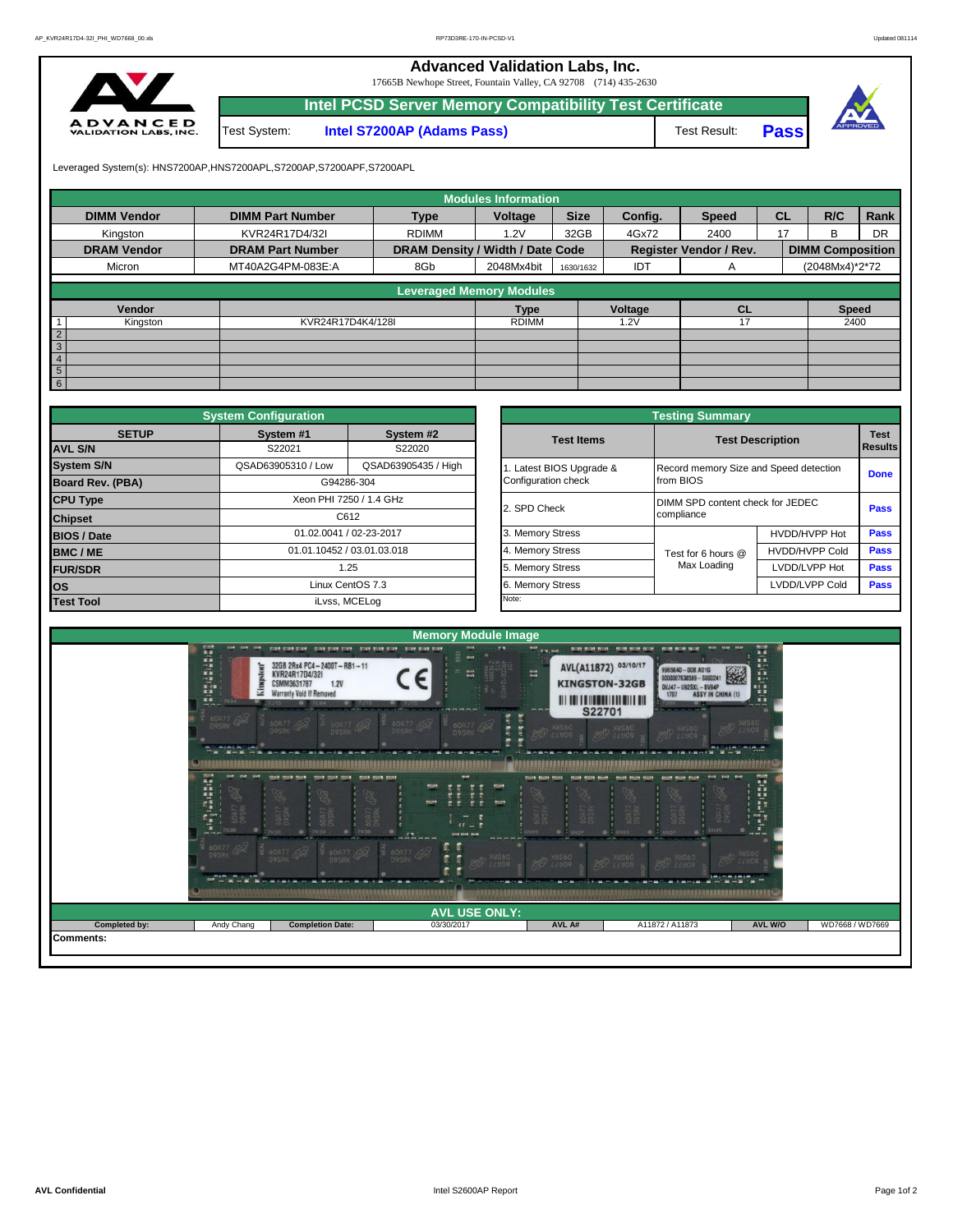**Advanced Validation Labs, Inc.** 

17665B Newhope Street, Fountain Valley, CA 92708 (714) 435-2630



|              | Intel PCSD Server Memory Compatibility Test Certificate |              |             |  |
|--------------|---------------------------------------------------------|--------------|-------------|--|
| Test System: | <b>Intel S7200AP (Adams Pass)</b>                       | Test Result: | <b>Pass</b> |  |

Leveraged System(s): HNS7200AP,HNS7200APL,S7200AP,S7200APF,S7200APL

|                    |                         |                                  | <b>Modules Information</b> |             |         |                               |           |                         |           |
|--------------------|-------------------------|----------------------------------|----------------------------|-------------|---------|-------------------------------|-----------|-------------------------|-----------|
| <b>DIMM Vendor</b> | <b>DIMM Part Number</b> | <b>Type</b>                      | Voltage                    | <b>Size</b> | Config. | <b>Speed</b>                  | <b>CL</b> | R/C                     | Rank      |
| Kingston           | KVR24R17D4/32I          | <b>RDIMM</b>                     | 1.2V                       | 32GB        | 4Gx72   | 2400                          | 17        | <sub>B</sub>            | <b>DR</b> |
| <b>DRAM Vendor</b> | <b>DRAM Part Number</b> | DRAM Density / Width / Date Code |                            |             |         | <b>Register Vendor / Rev.</b> |           | <b>DIMM Composition</b> |           |
| Micron             | MT40A2G4PM-083E:A       | 8Gb                              | 2048Mx4bit                 | 1630/1632   | IDT     | A                             |           | (2048Mx4)*2*72          |           |
|                    |                         |                                  |                            |             |         |                               |           |                         |           |
|                    |                         | <b>Leveraged Memory Modules</b>  |                            |             |         |                               |           |                         |           |
| Vendor             |                         |                                  | <b>Type</b>                |             | Voltage | <b>CL</b>                     |           | <b>Speed</b>            |           |
| Kingston           | KVR24R17D4K4/128I       |                                  | <b>RDIMM</b>               |             | 1.2V    | 17                            |           | 2400                    |           |
| $\overline{2}$     |                         |                                  |                            |             |         |                               |           |                         |           |
| $\sqrt{3}$         |                         |                                  |                            |             |         |                               |           |                         |           |
| $\overline{4}$     |                         |                                  |                            |             |         |                               |           |                         |           |
| $5\overline{)}$    |                         |                                  |                            |             |         |                               |           |                         |           |
| 6                  |                         |                                  |                            |             |         |                               |           |                         |           |

|                         | <b>System Configuration</b> |                            |                       | <b>Testing Summary</b>                 |                         |             |
|-------------------------|-----------------------------|----------------------------|-----------------------|----------------------------------------|-------------------------|-------------|
| <b>SETUP</b>            | System #1                   | System #2                  | <b>Test Items</b>     |                                        | <b>Test Description</b> | <b>Test</b> |
| <b>AVL S/N</b>          | S22021                      | S22020                     |                       |                                        |                         | Results     |
| <b>System S/N</b>       | QSAD63905310 / Low          | QSAD63905435 / High        | Latest BIOS Upgrade & | Record memory Size and Speed detection |                         | <b>Done</b> |
| <b>Board Rev. (PBA)</b> |                             | G94286-304                 | Configuration check   | from BIOS                              |                         |             |
| <b>CPU Type</b>         |                             | Xeon PHI 7250 / 1.4 GHz    | 2. SPD Check          | DIMM SPD content check for JEDEC       |                         | Pass        |
| <b>Chipset</b>          |                             | C612                       |                       | compliance                             |                         |             |
| <b>BIOS / Date</b>      |                             | 01.02.0041 / 02-23-2017    | 3. Memory Stress      |                                        | HVDD/HVPP Hot           | <b>Pass</b> |
| <b>BMC/ME</b>           |                             | 01.01.10452 / 03.01.03.018 | 4. Memory Stress      | Test for 6 hours @                     | <b>HVDD/HVPP Cold</b>   | <b>Pass</b> |
| <b>FUR/SDR</b>          |                             | 1.25                       | 5. Memory Stress      | Max Loading                            | LVDD/LVPP Hot           | Pass        |
| <b>los</b>              |                             | Linux CentOS 7.3           | 6. Memory Stress      |                                        | LVDD/LVPP Cold          | Pass        |
| <b>Test Tool</b>        |                             | iLvss, MCELog              | Note:                 |                                        |                         |             |

|              | <b>System Configuration</b> |                                    |                       | <b>Testing Summary</b>                 |                               |             |  |  |  |
|--------------|-----------------------------|------------------------------------|-----------------------|----------------------------------------|-------------------------------|-------------|--|--|--|
| <b>SETUP</b> | System #1<br>S22021         | System #2<br>S22020                | <b>Test Items</b>     | <b>Test Description</b>                | <b>Test</b><br><b>Results</b> |             |  |  |  |
|              | QSAD63905310 / Low          | QSAD63905435 / High                | Latest BIOS Upgrade & | Record memory Size and Speed detection |                               | <b>Done</b> |  |  |  |
| PBA)         |                             | G94286-304                         | Configuration check   | from BIOS                              |                               |             |  |  |  |
|              | Xeon PHI 7250 / 1.4 GHz     |                                    | 2. SPD Check          | DIMM SPD content check for JEDEC       | Pass                          |             |  |  |  |
|              |                             | C612                               |                       | compliance                             |                               |             |  |  |  |
|              |                             | 01.02.0041 / 02-23-2017            | 3. Memory Stress      |                                        | HVDD/HVPP Hot                 | Pass        |  |  |  |
|              |                             | 01.01.10452 / 03.01.03.018<br>1.25 |                       | Test for 6 hours @                     | <b>HVDD/HVPP Cold</b>         | Pass        |  |  |  |
|              |                             |                                    |                       | Max Loading                            | LVDD/LVPP Hot                 | Pass        |  |  |  |
|              |                             | Linux CentOS 7.3                   | 6. Memory Stress      |                                        | LVDD/LVPP Cold                | Pass        |  |  |  |
|              |                             | iLvss, MCELog                      | Note:                 |                                        |                               |             |  |  |  |

|               |                                                                                                                |                                                                                                                                                                                                                      | <b>Memory Module Image</b>                                                                                                                            |                                                                                                          |                                                                                                                                                                                                   |                                               |                 |
|---------------|----------------------------------------------------------------------------------------------------------------|----------------------------------------------------------------------------------------------------------------------------------------------------------------------------------------------------------------------|-------------------------------------------------------------------------------------------------------------------------------------------------------|----------------------------------------------------------------------------------------------------------|---------------------------------------------------------------------------------------------------------------------------------------------------------------------------------------------------|-----------------------------------------------|-----------------|
|               | <b>MAINERS</b><br>me one one.<br>King<br><b>KE</b><br>7894<br>$m + r + m$                                      | disk disk disk - disk disk disk - bisk bisk pisk-<br>32GB 2Rx4 PC4-2400T-RB1-11<br>KVR24R17D4/32I<br>CSMM3631787<br><b>1.2V</b><br>Warranty Void If Removed                                                          | # 50<br><b>Start Start Star</b><br>嵩<br>THE APPLIES, LOT, LOT, LOT, LOT, LOT, LOR, AND AND AND AND AND                                                | AVL(A11872) 03/10/17<br>潭<br><b>KINGSTON-32GB</b><br>$\sim$ $\sim$ $\sim$<br><b>S22701</b><br>pair man i | sent sent<br>dealer decay movem, country movement is the movement.<br>9965640 - 008.A01G<br>0000007638599 - \$000241<br>0VJ47-U92SXL-BV94P<br>1707 ASSY IN CHINA (1)<br>of the company of the ad- | Extragalactic<br>图<br>---                     |                 |
|               | 60A77 452                                                                                                      | <b>60A77 499</b><br><b>BOA77 452</b>                                                                                                                                                                                 | 60877 452<br>60477 4<br>E,<br><b>BALLA</b><br><b>IN IN FRIDAY AND ARE</b>                                                                             | <b>PSD</b> XHS60<br>ŗ                                                                                    | DASIN DES<br><b>PSD</b> HUSSO                                                                                                                                                                     | DOZHK DE<br><b>CALLA</b>                      |                 |
|               | $\begin{smallmatrix}&&1\\1&1&1&1\\1&1&1&1\end{smallmatrix}$<br>tion that they<br>œ<br>백<br>60A77<br>$m \neq n$ | that that that - that that they have the third that<br><b>A</b><br>60877<br>60077<br>۰<br>$-7K3R$<br>$\bullet$<br><b>7K3R</b><br><b>Colorado ano altres de las</b><br><b>Secretary and Construction Construction</b> | your.<br>すす<br>÷<br>÷.<br>47<br>$\overline{\phantom{a}}$<br>mint<br>$1 - 1$<br>in the<br>or lost yest met met met van<br>them must more more must buy | <b>TOOM SOUR ROOM</b><br><b>STORE STORE BOOK!</b><br>60A7<br>$\bullet$ $\rightarrow$ GN2F                | <b>KIND ROOM PLUM</b><br>sale:<br>- ROOM PRICE ROOM -<br>60A77<br>D9SRK<br>600R7<br>$\bullet$ - 6N95<br><b>BN2F</b>                                                                               | $\mathbb{R}^3$<br><b>NE NOT NO</b>            |                 |
|               | <b>60A77 452</b><br><b>BLACK COMPANY</b>                                                                       | <b>60A77 452</b><br>60A77 492                                                                                                                                                                                        | 60477 492<br><b>PSP</b> XHS60<br>£,                                                                                                                   | <b>DAD XAS60</b>                                                                                         | <b>PSP</b> 22009<br><b>BSD</b> 218560<br><b>的复数反应的经经营的现在分词 医皮肤性骨折 医神经病 医眼镜 医假性脑膜炎 医腹膜炎</b>                                                                                                        | <b>PSD</b> X8560<br>and compared and compared |                 |
|               |                                                                                                                |                                                                                                                                                                                                                      | <b>AVL USE ONLY:</b>                                                                                                                                  |                                                                                                          |                                                                                                                                                                                                   |                                               |                 |
| Completed by: | Andy Chang                                                                                                     | <b>Completion Date:</b>                                                                                                                                                                                              | 03/30/2017                                                                                                                                            | AVL A#                                                                                                   | A11872 / A11873                                                                                                                                                                                   | AVL W/O                                       | WD7668 / WD7669 |
| Comments:     |                                                                                                                |                                                                                                                                                                                                                      |                                                                                                                                                       |                                                                                                          |                                                                                                                                                                                                   |                                               |                 |